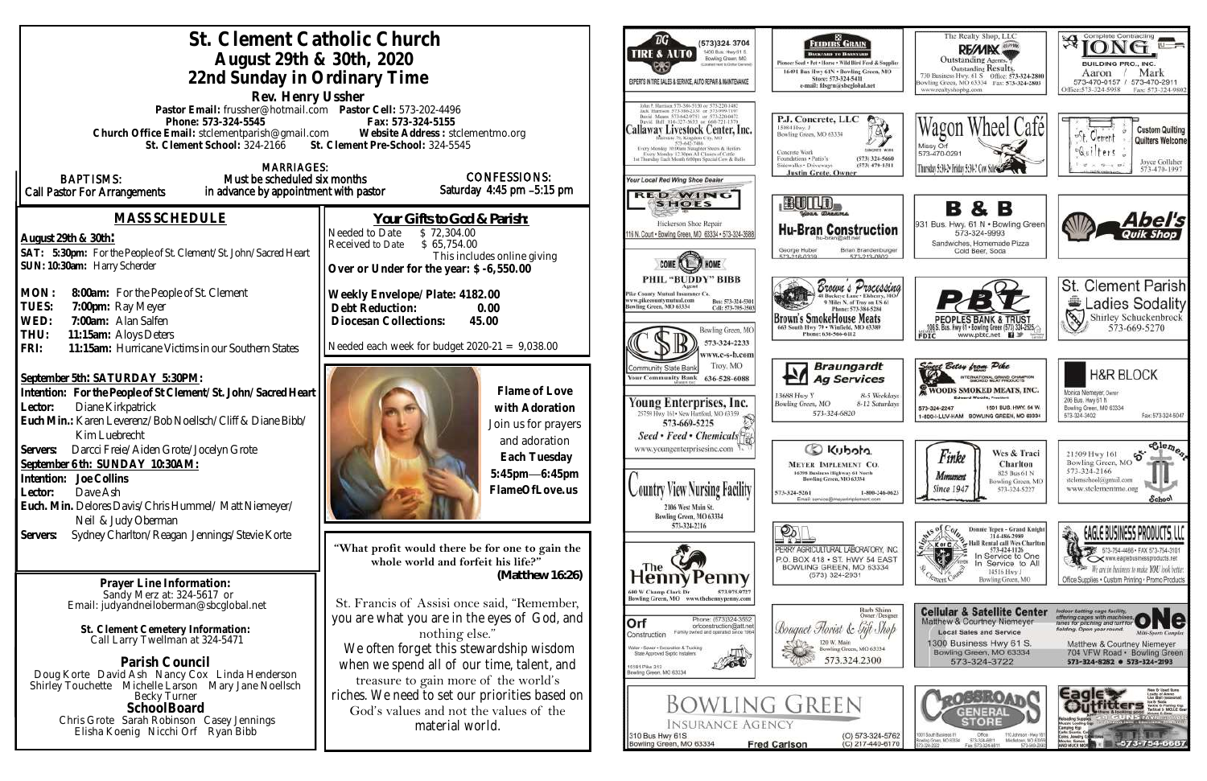| St. Clement Catholic Church<br>August 29th & 30th, 2020<br>22nd Sunday in Ordinary Time<br>Rev. Henry Ussher                                                                                                                                                                                                                                                                                                                                |                                                                                                                                                                                                                                                                | ТG<br>(573)324 3704<br>1400 Bus: Hwy 61 S.<br><b>TIRE &amp; AUTO</b><br>Bowling Green, MO<br>(also real to Dollar Gerara<br>EXPERTS IN TIRE SALES & SERVICE, AUTO REPAIR & MAINTENANCE                                                                                                                                                                                                                     | FEDERS GRAIN<br>ВАСКУАНО ТО ВАНАУАНО<br>Pioneer Seed . Pet . Horse . Wild Bird Feed .<br>16491 Bas Hwy 61N . Bowling Green<br>Store: 573-324-5411<br>e-mail: fdsgrn@sbcglobal.net                                     |
|---------------------------------------------------------------------------------------------------------------------------------------------------------------------------------------------------------------------------------------------------------------------------------------------------------------------------------------------------------------------------------------------------------------------------------------------|----------------------------------------------------------------------------------------------------------------------------------------------------------------------------------------------------------------------------------------------------------------|------------------------------------------------------------------------------------------------------------------------------------------------------------------------------------------------------------------------------------------------------------------------------------------------------------------------------------------------------------------------------------------------------------|-----------------------------------------------------------------------------------------------------------------------------------------------------------------------------------------------------------------------|
| Pastor Email: frussher@hotmail.com    Pastor Cell: 573-202-4496<br>Phone: 573-324-5545<br>Church Office Email: stclementparish@gmail.com Website Address : stclementmo.org<br>St. Clement School: 324-2166 St. Clement Pre-School: 324-5545<br><b>MARRIAGES:</b>                                                                                                                                                                            | Fax: 573-324-5155                                                                                                                                                                                                                                              | ck Hurrism 571-386-2138 or 573-999-719<br>David Means 573-642-9753 or 573-220-0472<br>Callaway Livestock Center, Inc.<br>15084 Hwy. J.<br>Bowling Green, MO 63334<br>573-642-7486<br>Every Monday 10:00am Slaughter Steers & Heifers<br>Concrete Work<br>very Monday 12.30pm All Classes of Cattle<br>Foundations - Patio's<br>1st Thursday Tach Month 6:00pm Special Cow & Bull-<br>Sidewalks . Driveways | P.J. Concrete, LLC<br><sup>●</sup><br>(573) 47                                                                                                                                                                        |
| <b>BAPTISMS:</b><br>Must be scheduled six months<br>in advance by appointment with pastor<br>Call Pastor For Arrangements                                                                                                                                                                                                                                                                                                                   | <b>CONFESSIONS:</b><br>Saturday 4:45 pm -5:15 pm                                                                                                                                                                                                               | <b>Your Local Red Wing Shoe Dealer</b><br><b>RED WING</b><br>BUILD.<br><b>SHOES</b>                                                                                                                                                                                                                                                                                                                        | <b>Justin Grote, Owner</b>                                                                                                                                                                                            |
| MASS SCHEDULE<br>August 29th & 30th:<br>SAT: 5:30pm: For the People of St. Clement/St. John/Sacred Heart<br>SUN: 10:30am: Harry Scherder                                                                                                                                                                                                                                                                                                    | Your Gifts to God & Parish:<br>Needed to Date<br>\$72,304.00<br>\$65,754.00<br>Received to Date<br>This includes online giving<br>Over or Under for the year: \$-6,550.00                                                                                      | Hickerson Shoe Repair<br>116 N. Court . Bowling Green, MO 63334 . 573-324-3688<br>George Huber<br>573, 216, 0236                                                                                                                                                                                                                                                                                           | Sour Breases<br><b>Hu-Bran Construc</b><br><b>Brian Brande</b><br>673, 913, 0                                                                                                                                         |
| MON:<br>8:00am: For the People of St. Clement<br>TUES:<br>7:00pm: Ray Meyer<br>WED:<br>7:00am: Alan Salfen<br>THU:<br>11:15am: Aloys Deters<br>11:15am: Hurricane Victims in our Southern States<br>FRI:                                                                                                                                                                                                                                    | Weekly Envelope/Plate: 4182.00<br>Debt Reduction:<br>0.00<br>45.00<br>Diocesan Collections:<br>Needed each week for budget $2020-21 = 9,038.00$                                                                                                                | PHIL "BUDDY" BIBB<br>Pike County Mutual Insurance Co.<br>www.pikecountymutual.com<br>Bus: 573-324-5301<br>lowling Green, MO 63334<br>Cell: 573-795-3503<br>Bowling Green, MO<br>573-324-2233<br>ww.c-s-b.com                                                                                                                                                                                               | Brouw & Proc<br>Phone: 573-384-52<br>Brown's SmokeHouse Meat<br>663 South Hwy 79 . Winfield, MO 633<br>Phone: 636-566-6112                                                                                            |
| September 5th: SATURDAY 5:30PM:<br>Intention: For the People of St Clement/St. John/Sacred Heart<br>Diane Kirkpatrick<br>Lector:<br>Euch Min.: Karen Leverenz/Bob Noellsch/Cliff & Diane Bibb/<br>Kim Luebrecht<br>Darcci Freie/Aiden Grote/Jocelyn Grote<br>Servers:<br>September 6 th: SUNDAY 10:30AM:<br>Joe Collins<br>Intention:<br>Dave Ash<br>Lector:<br>Euch. Min. Delores Davis/Chris Hummel/Matt Niemeyer/<br>Neil & Judy Oberman | Flame of Love<br>with Adoration<br>Join us for prayers<br>and adoration<br>Each Tuesday<br>5:45pm-6:45pm<br>FlameOfLove.us                                                                                                                                     | Troy, MO<br>Community State Bank<br><b>Your Community Bank</b><br>636-528-6088<br>13688 Hwy Y<br>Young Enterprises, Inc.<br>Bowling Green, MO<br>25759 Hwy 161 . New Hartford, MO 63359<br>573-669-5225<br>Seed • Feed • Chemicals<br>www.youngenterprisesinc.com<br><b>Country View Nursing Facility</b><br>573-324-5261<br>2106 West Main St.<br>Bowling Green, MO 63334<br>573-324-2216                 | <b>Braungard</b><br><b>Ag Service</b><br>8.5V<br>8-12 S<br>573-324-6820<br>Colcotu> CD<br><b>MEYER IMPLEMENT CO</b><br>16398 Business Highway 61 North<br>Bowling Green, MO 63334<br>Email: service@meyerimplement.co |
| Sydney Charlton/Reagan Jennings/Stevie Korte<br>Servers:<br>Prayer Line Information:<br>Sandy Merz at: 324-5617 or<br>Email: judyandneiloberman@sbcglobal.net                                                                                                                                                                                                                                                                               | "What profit would there be for one to gain the<br>whole world and forfeit his life?"<br>(Matthew 16:26)<br>St. Francis of Assisi once said, "Remember,<br>you are what you are in the eyes of God, and                                                        | $\mathcal{D}$<br>l he.<br>Penny<br>rtenn<br><b>500 W Champ Clark Dr</b><br>Bowling Green, MO www.thehennypenny.com<br>Phone: (573)324-3552                                                                                                                                                                                                                                                                 | PERRY AGRICULTURAL LABORATO<br>P.O. BOX 418 . ST. HWY 54<br>BOWLING GREEN, MO 63<br>(573) 324-2931<br>Barb:<br>Owner                                                                                                  |
| St. Clement Cemetery Information:<br>Call Larry Twellman at 324-5471<br>Parish Council<br>Doug Korte David Ash Nancy Cox Linda Henderson<br>Shirley Touchette Michelle Larson Mary Jane Noellsch<br><b>Becky Turner</b><br>SchoolBoard<br>Chris Grote Sarah Robinson Casey Jennings<br>Elisha Koenig Nicchi Orf<br>Ryan Bibb                                                                                                                | nothing else."<br>We often forget this stewardship wisdom<br>when we spend all of our time, talent, and<br>treasure to gain more of the world's<br>riches. We need to set our priorities based on<br>God's values and not the values of the<br>material world. | Orf<br>orfconstruction@att.net<br>Family owned and operated since 1964<br>Construction<br>Waller . Sewer . Excavation & Trucking<br>State Approved Septic Installers<br>5381 Pike 313<br>lowling Green, MO 63334<br><b>BOWLING GREEN</b><br><b>INSURANCE AGENCY</b><br>310 Bus Hwy 61S<br><b>Fred Carlson</b><br>Bowling Green, MO 63334                                                                   | Bouquet Florist & Gift<br>120 W. Main<br>Bowling Green, MO 63<br>573.324.230<br>$(O) 573 - 32$<br>$(C)$ 217-44                                                                                                        |